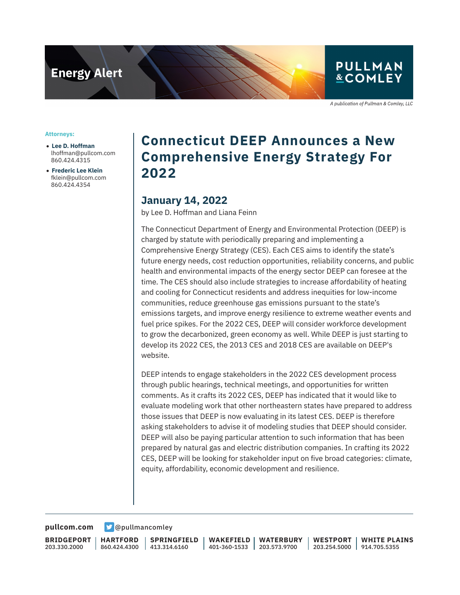

## **PULLMAN &COMLEY**

A publication of Pullman & Comley, LLC

#### **Attorneys:**

- **Lee D. Hoffman** lhoffman@pullcom.com 860.424.4315
- **Frederic Lee Klein** fklein@pullcom.com 860.424.4354

# **Connecticut DEEP Announces a New Comprehensive Energy Strategy For 2022**

### **January 14, 2022**

by Lee D. Hoffman and Liana Feinn

The Connecticut Department of Energy and Environmental Protection (DEEP) is charged by statute with periodically preparing and implementing a Comprehensive Energy Strategy (CES). Each CES aims to identify the state's future energy needs, cost reduction opportunities, reliability concerns, and public health and environmental impacts of the energy sector DEEP can foresee at the time. The CES should also include strategies to increase affordability of heating and cooling for Connecticut residents and address inequities for low-income communities, reduce greenhouse gas emissions pursuant to the state's emissions targets, and improve energy resilience to extreme weather events and fuel price spikes. For the 2022 CES, DEEP will consider workforce development to grow the decarbonized, green economy as well. While DEEP is just starting to develop its 2022 CES, the 2013 CES and 2018 CES are available on DEEP's website.

DEEP intends to engage stakeholders in the 2022 CES development process through public hearings, technical meetings, and opportunities for written comments. As it crafts its 2022 CES, DEEP has indicated that it would like to evaluate modeling work that other northeastern states have prepared to address those issues that DEEP is now evaluating in its latest CES. DEEP is therefore asking stakeholders to advise it of modeling studies that DEEP should consider. DEEP will also be paying particular attention to such information that has been prepared by natural gas and electric distribution companies. In crafting its 2022 CES, DEEP will be looking for stakeholder input on five broad categories: climate, equity, affordability, economic development and resilience.

**[pullcom.com](https://www.pullcom.com) g** [@pullmancomley](https://twitter.com/PullmanComley)

**BRIDGEPORT** 203.330.2000

**HARTFORD**

860.424.4300 413.314.6160 **SPRINGFIELD**

**WAKEFIELD** 401-360-1533 203.573.9700 **WATERBURY**

**WESTPORT** 203.254.5000 914.705.5355 **WHITE PLAINS**